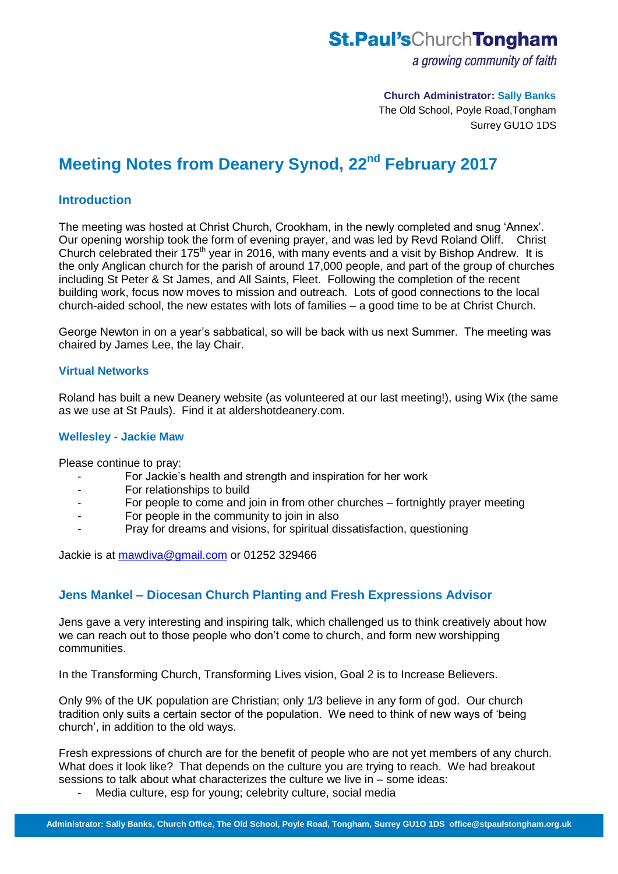## **St.Paul's**ChurchTongham

a growing community of faith

#### **Church Administrator: Sally Banks**

The Old School, Poyle Road,Tongham Surrey GU1O 1DS

# **Meeting Notes from Deanery Synod, 22nd February 2017**

## **Introduction**

The meeting was hosted at Christ Church, Crookham, in the newly completed and snug 'Annex'. Our opening worship took the form of evening prayer, and was led by Revd Roland Oliff. Christ Church celebrated their 175<sup>th</sup> year in 2016, with many events and a visit by Bishop Andrew. It is the only Anglican church for the parish of around 17,000 people, and part of the group of churches including St Peter & St James, and All Saints, Fleet. Following the completion of the recent building work, focus now moves to mission and outreach. Lots of good connections to the local church-aided school, the new estates with lots of families – a good time to be at Christ Church.

George Newton in on a year's sabbatical, so will be back with us next Summer. The meeting was chaired by James Lee, the lay Chair.

### **Virtual Networks**

Roland has built a new Deanery website (as volunteered at our last meeting!), using Wix (the same as we use at St Pauls). Find it at aldershotdeanery.com.

#### **Wellesley - Jackie Maw**

Please continue to pray:

- For Jackie's health and strength and inspiration for her work
- For relationships to build
- For people to come and join in from other churches fortnightly prayer meeting
- For people in the community to join in also
- Pray for dreams and visions, for spiritual dissatisfaction, questioning

Jackie is at [mawdiva@gmail.com](mailto:mawdiva@gmail.com) or 01252 329466

## **Jens Mankel – Diocesan Church Planting and Fresh Expressions Advisor**

Jens gave a very interesting and inspiring talk, which challenged us to think creatively about how we can reach out to those people who don't come to church, and form new worshipping communities.

In the Transforming Church, Transforming Lives vision, Goal 2 is to Increase Believers.

Only 9% of the UK population are Christian; only 1/3 believe in any form of god. Our church tradition only suits a certain sector of the population. We need to think of new ways of 'being church', in addition to the old ways.

Fresh expressions of church are for the benefit of people who are not yet members of any church. What does it look like? That depends on the culture you are trying to reach. We had breakout sessions to talk about what characterizes the culture we live in – some ideas:

- Media culture, esp for young; celebrity culture, social media